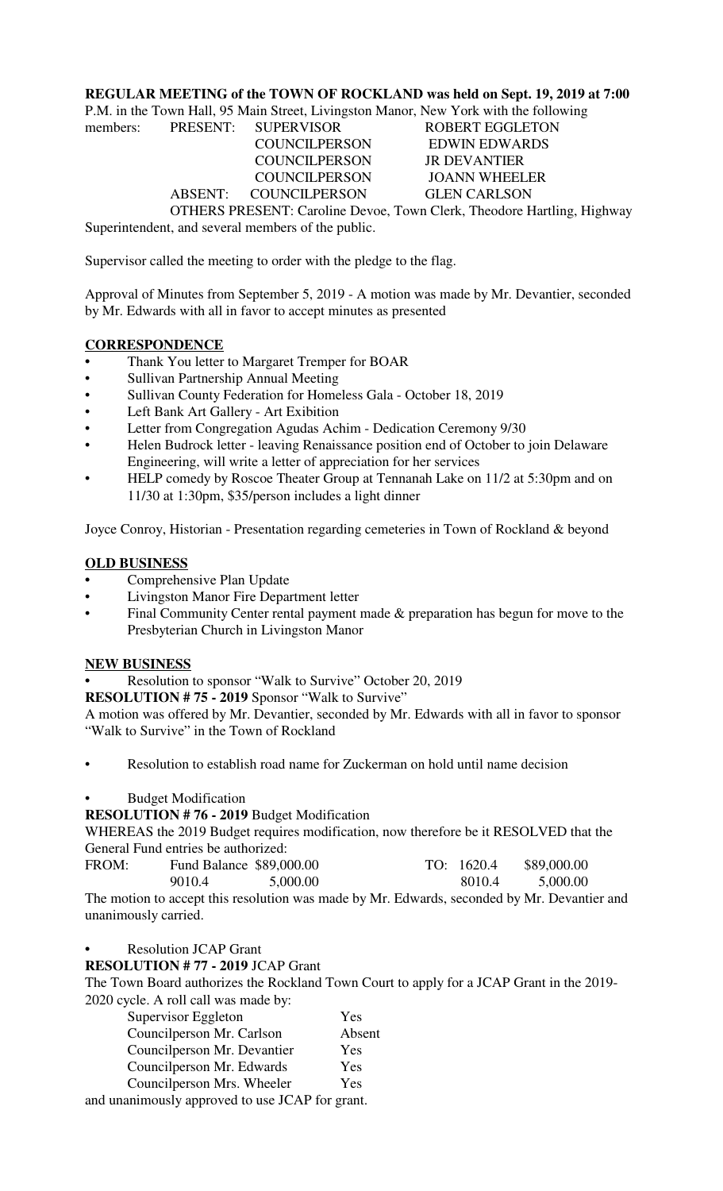### **REGULAR MEETING of the TOWN OF ROCKLAND was held on Sept. 19, 2019 at 7:00**

P.M. in the Town Hall, 95 Main Street, Livingston Manor, New York with the following

members: PRESENT: SUPERVISOR ROBERT EGGLETON COUNCILPERSON ABSENT: COUNCILPERSON GLEN CARLSON

COUNCILPERSON EDWIN EDWARDS COUNCILPERSON JR DEVANTIER<br>COUNCILPERSON JOANN WHEELER

OTHERS PRESENT: Caroline Devoe, Town Clerk, Theodore Hartling, Highway Superintendent, and several members of the public.

Supervisor called the meeting to order with the pledge to the flag.

Approval of Minutes from September 5, 2019 - A motion was made by Mr. Devantier, seconded by Mr. Edwards with all in favor to accept minutes as presented

#### **CORRESPONDENCE**

- **•** Thank You letter to Margaret Tremper for BOAR
- Sullivan Partnership Annual Meeting
- Sullivan County Federation for Homeless Gala October 18, 2019
- Left Bank Art Gallery Art Exibition
- Letter from Congregation Agudas Achim Dedication Ceremony 9/30
- Helen Budrock letter leaving Renaissance position end of October to join Delaware Engineering, will write a letter of appreciation for her services
- HELP comedy by Roscoe Theater Group at Tennanah Lake on 11/2 at 5:30pm and on 11/30 at 1:30pm, \$35/person includes a light dinner

Joyce Conroy, Historian - Presentation regarding cemeteries in Town of Rockland & beyond

#### **OLD BUSINESS**

- **•** Comprehensive Plan Update
- Livingston Manor Fire Department letter
- Final Community Center rental payment made & preparation has begun for move to the Presbyterian Church in Livingston Manor

#### **NEW BUSINESS**

**•** Resolution to sponsor "Walk to Survive" October 20, 2019

**RESOLUTION # 75 - 2019** Sponsor "Walk to Survive"

A motion was offered by Mr. Devantier, seconded by Mr. Edwards with all in favor to sponsor "Walk to Survive" in the Town of Rockland

• Resolution to establish road name for Zuckerman on hold until name decision

## • Budget Modification

# **RESOLUTION # 76 - 2019** Budget Modification

WHEREAS the 2019 Budget requires modification, now therefore be it RESOLVED that the General Fund entries be authorized:

| FROM: | Fund Balance \$89,000.00 |          | TO: 1620.4 | \$89,000.00 |
|-------|--------------------------|----------|------------|-------------|
|       | 9010.4                   | 5,000.00 | 8010.4     | 5,000.00    |

The motion to accept this resolution was made by Mr. Edwards, seconded by Mr. Devantier and unanimously carried.

**•** Resolution JCAP Grant

#### **RESOLUTION # 77 - 2019** JCAP Grant

The Town Board authorizes the Rockland Town Court to apply for a JCAP Grant in the 2019- 2020 cycle. A roll call was made by:

| Supervisor Eggleton                                     | Yes    |
|---------------------------------------------------------|--------|
| Councilperson Mr. Carlson                               | Absent |
| Councilperson Mr. Devantier                             | Yes    |
| Councilperson Mr. Edwards                               | Yes    |
| Councilperson Mrs. Wheeler                              | Yes    |
| upanimously approved to use $I \cap \Delta P$ for grapt |        |

and unanimously approved to use JCAP for grant.